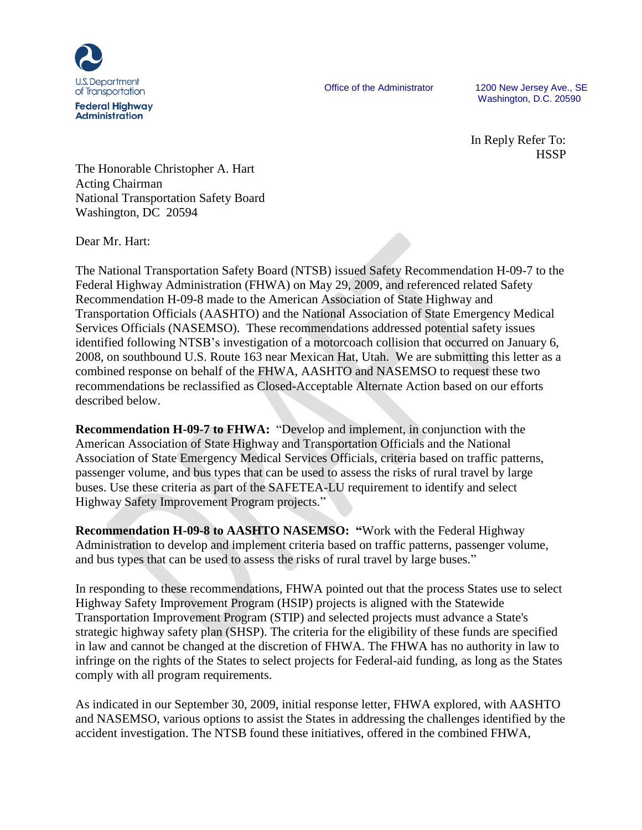

Office of the Administrator 1200 New Jersey Ave., SE Washington, D.C. 20590

> In Reply Refer To: **HSSP**

The Honorable Christopher A. Hart Acting Chairman National Transportation Safety Board Washington, DC 20594

Dear Mr. Hart:

The National Transportation Safety Board (NTSB) issued Safety Recommendation H-09-7 to the Federal Highway Administration (FHWA) on May 29, 2009, and referenced related Safety Recommendation H-09-8 made to the American Association of State Highway and Transportation Officials (AASHTO) and the National Association of State Emergency Medical Services Officials (NASEMSO). These recommendations addressed potential safety issues identified following NTSB's investigation of a motorcoach collision that occurred on January 6, 2008, on southbound U.S. Route 163 near Mexican Hat, Utah. We are submitting this letter as a combined response on behalf of the FHWA, AASHTO and NASEMSO to request these two recommendations be reclassified as Closed-Acceptable Alternate Action based on our efforts described below.

**Recommendation H-09-7 to FHWA:** "Develop and implement, in conjunction with the American Association of State Highway and Transportation Officials and the National Association of State Emergency Medical Services Officials, criteria based on traffic patterns, passenger volume, and bus types that can be used to assess the risks of rural travel by large buses. Use these criteria as part of the SAFETEA-LU requirement to identify and select Highway Safety Improvement Program projects."

**Recommendation H-09-8 to AASHTO NASEMSO: "**Work with the Federal Highway Administration to develop and implement criteria based on traffic patterns, passenger volume, and bus types that can be used to assess the risks of rural travel by large buses."

In responding to these recommendations, FHWA pointed out that the process States use to select Highway Safety Improvement Program (HSIP) projects is aligned with the Statewide Transportation Improvement Program (STIP) and selected projects must advance a State's strategic highway safety plan (SHSP). The criteria for the eligibility of these funds are specified in law and cannot be changed at the discretion of FHWA. The FHWA has no authority in law to infringe on the rights of the States to select projects for Federal-aid funding, as long as the States comply with all program requirements.

As indicated in our September 30, 2009, initial response letter, FHWA explored, with AASHTO and NASEMSO, various options to assist the States in addressing the challenges identified by the accident investigation. The NTSB found these initiatives, offered in the combined FHWA,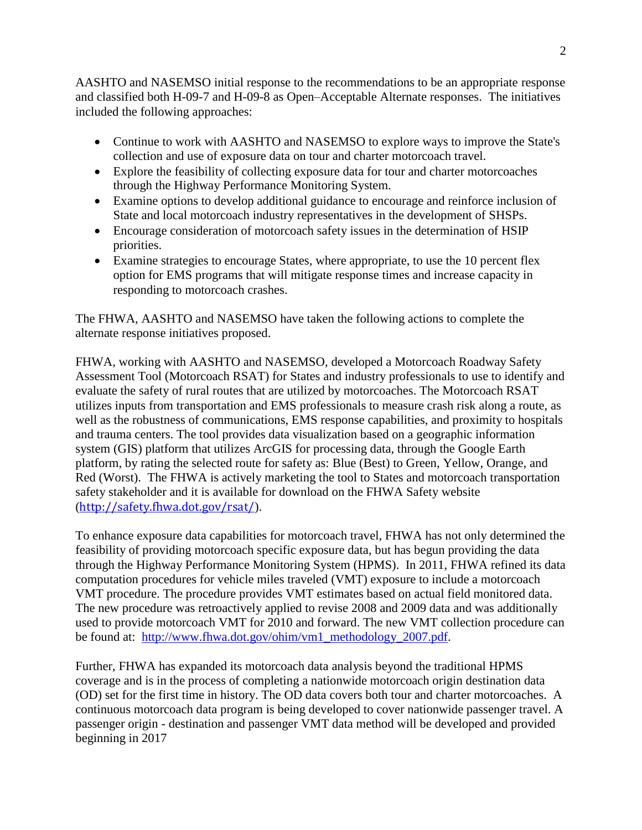AASHTO and NASEMSO initial response to the recommendations to be an appropriate response and classified both H-09-7 and H-09-8 as Open–Acceptable Alternate responses. The initiatives included the following approaches:

- Continue to work with AASHTO and NASEMSO to explore ways to improve the State's collection and use of exposure data on tour and charter motorcoach travel.
- Explore the feasibility of collecting exposure data for tour and charter motorcoaches through the Highway Performance Monitoring System.
- Examine options to develop additional guidance to encourage and reinforce inclusion of State and local motorcoach industry representatives in the development of SHSPs.
- Encourage consideration of motorcoach safety issues in the determination of HSIP priorities.
- Examine strategies to encourage States, where appropriate, to use the 10 percent flex option for EMS programs that will mitigate response times and increase capacity in responding to motorcoach crashes.

The FHWA, AASHTO and NASEMSO have taken the following actions to complete the alternate response initiatives proposed.

FHWA, working with AASHTO and NASEMSO, developed a Motorcoach Roadway Safety Assessment Tool (Motorcoach RSAT) for States and industry professionals to use to identify and evaluate the safety of rural routes that are utilized by motorcoaches. The Motorcoach RSAT utilizes inputs from transportation and EMS professionals to measure crash risk along a route, as well as the robustness of communications, EMS response capabilities, and proximity to hospitals and trauma centers. The tool provides data visualization based on a geographic information system (GIS) platform that utilizes ArcGIS for processing data, through the Google Earth platform, by rating the selected route for safety as: Blue (Best) to Green, Yellow, Orange, and Red (Worst). The FHWA is actively marketing the tool to States and motorcoach transportation safety stakeholder and it is available for download on the FHWA Safety website (<http://safety.fhwa.dot.gov/rsat/>).

To enhance exposure data capabilities for motorcoach travel, FHWA has not only determined the feasibility of providing motorcoach specific exposure data, but has begun providing the data through the Highway Performance Monitoring System (HPMS). In 2011, FHWA refined its data computation procedures for vehicle miles traveled (VMT) exposure to include a motorcoach VMT procedure. The procedure provides VMT estimates based on actual field monitored data. The new procedure was retroactively applied to revise 2008 and 2009 data and was additionally used to provide motorcoach VMT for 2010 and forward. The new VMT collection procedure can be found at: [http://www.fhwa.dot.gov/ohim/vm1\\_methodology\\_2007.pdf.](http://www.fhwa.dot.gov/ohim/vm1_methodology_2007.pdf)

Further, FHWA has expanded its motorcoach data analysis beyond the traditional HPMS coverage and is in the process of completing a nationwide motorcoach origin destination data (OD) set for the first time in history. The OD data covers both tour and charter motorcoaches. A continuous motorcoach data program is being developed to cover nationwide passenger travel. A passenger origin - destination and passenger VMT data method will be developed and provided beginning in 2017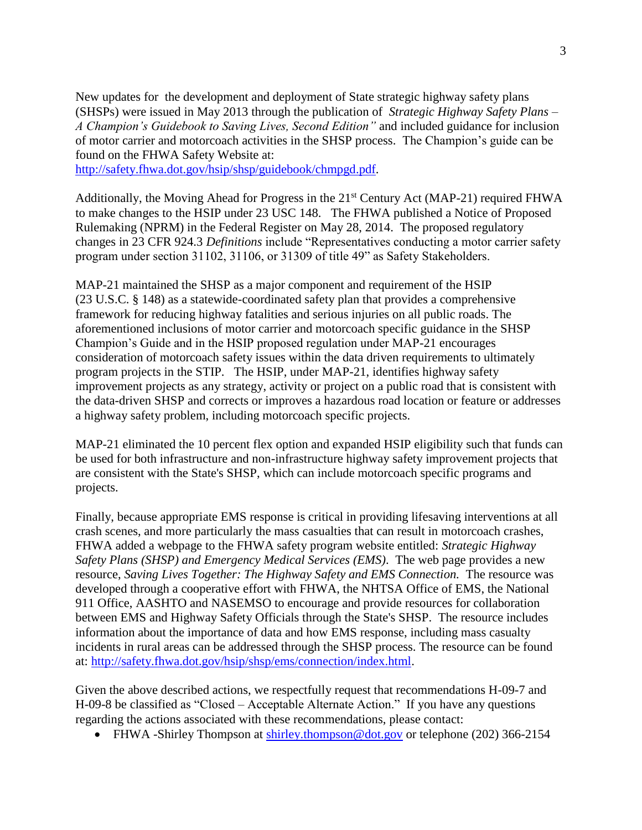New updates for the development and deployment of State strategic highway safety plans (SHSPs) were issued in May 2013 through the publication of *Strategic Highway Safety Plans – A Champion's Guidebook to Saving Lives, Second Edition"* and included guidance for inclusion of motor carrier and motorcoach activities in the SHSP process. The Champion's guide can be found on the FHWA Safety Website at:

[http://safety.fhwa.dot.gov/hsip/shsp/guidebook/chmpgd.pdf.](http://safety.fhwa.dot.gov/hsip/shsp/guidebook/chmpgd.pdf)

Additionally, the Moving Ahead for Progress in the 21<sup>st</sup> Century Act (MAP-21) required FHWA to make changes to the HSIP under 23 USC 148. The FHWA published a Notice of Proposed Rulemaking (NPRM) in the Federal Register on May 28, 2014. The proposed regulatory changes in 23 CFR 924.3 *Definitions* include "Representatives conducting a motor carrier safety program under section 31102, 31106, or 31309 of title 49" as Safety Stakeholders.

MAP-21 maintained the SHSP as a major component and requirement of the HSIP (23 U.S.C. § 148) as a statewide-coordinated safety plan that provides a comprehensive framework for reducing highway fatalities and serious injuries on all public roads. The aforementioned inclusions of motor carrier and motorcoach specific guidance in the SHSP Champion's Guide and in the HSIP proposed regulation under MAP-21 encourages consideration of motorcoach safety issues within the data driven requirements to ultimately program projects in the STIP. The HSIP, under MAP-21, identifies highway safety improvement projects as any strategy, activity or project on a public road that is consistent with the data-driven SHSP and corrects or improves a hazardous road location or feature or addresses a highway safety problem, including motorcoach specific projects.

MAP-21 eliminated the 10 percent flex option and expanded HSIP eligibility such that funds can be used for both infrastructure and non-infrastructure highway safety improvement projects that are consistent with the State's SHSP, which can include motorcoach specific programs and projects.

Finally, because appropriate EMS response is critical in providing lifesaving interventions at all crash scenes, and more particularly the mass casualties that can result in motorcoach crashes, FHWA added a webpage to the FHWA safety program website entitled: *Strategic Highway Safety Plans (SHSP) and Emergency Medical Services (EMS)*. The web page provides a new resource, *Saving Lives Together: The Highway Safety and EMS Connection*. The resource was developed through a cooperative effort with FHWA, the NHTSA Office of EMS, the National 911 Office, AASHTO and NASEMSO to encourage and provide resources for collaboration between EMS and Highway Safety Officials through the State's SHSP. The resource includes information about the importance of data and how EMS response, including mass casualty incidents in rural areas can be addressed through the SHSP process. The resource can be found at: [http://safety.fhwa.dot.gov/hsip/shsp/ems/connection/index.html.](http://safety.fhwa.dot.gov/hsip/shsp/ems/connection/index.html)

Given the above described actions, we respectfully request that recommendations H-09-7 and H-09-8 be classified as "Closed – Acceptable Alternate Action." If you have any questions regarding the actions associated with these recommendations, please contact:

• FHWA -Shirley Thompson at [shirley.thompson@dot.gov](mailto:shirley.thompson@dot.gov) or telephone (202) 366-2154